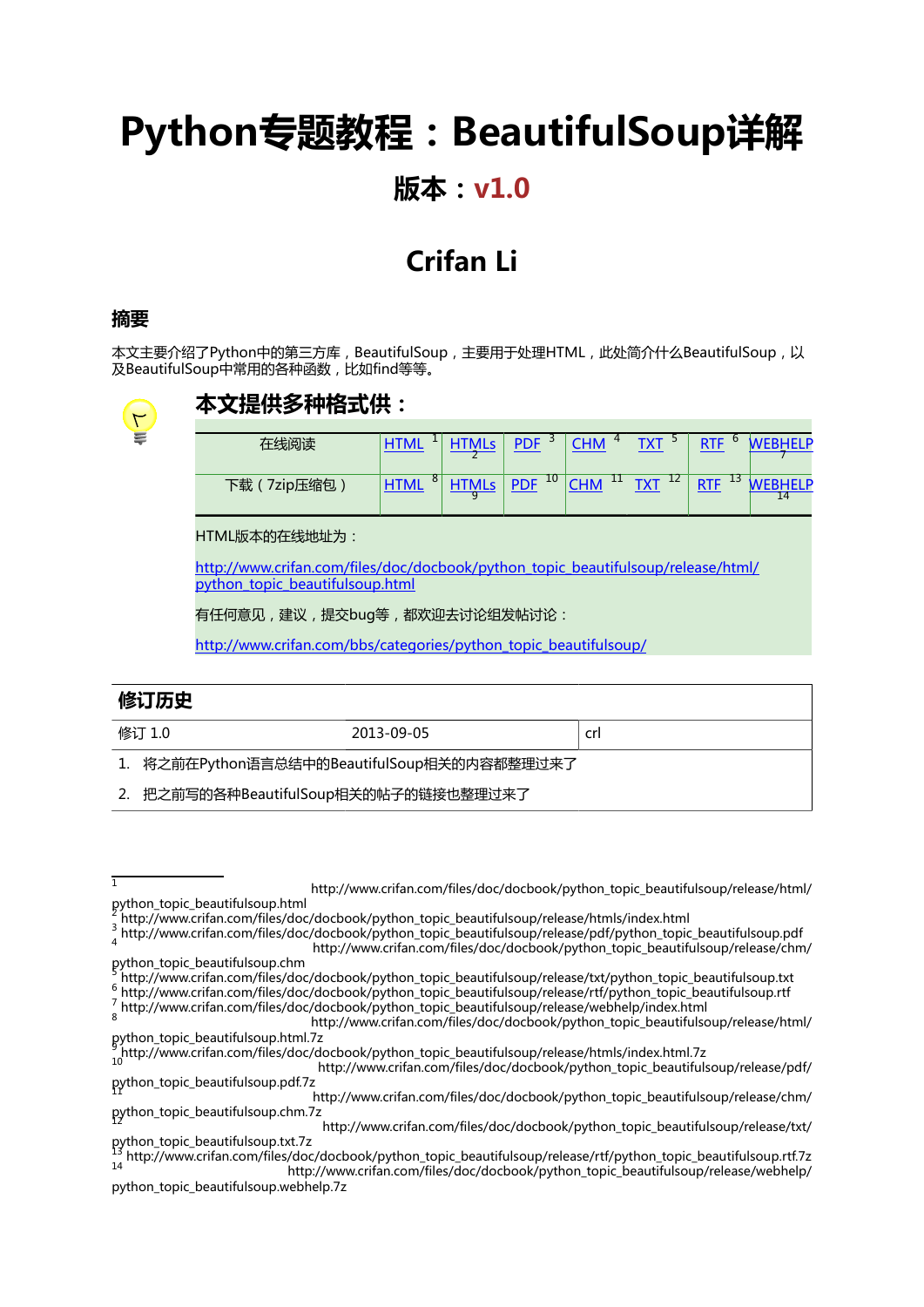# **Python专题教程:BeautifulSoup详解**

### **版本:v1.0**

### **Crifan Li**

#### **摘要**

本文主要介绍了Python中的第三方库,BeautifulSoup,主要用于处理HTML,此处简介什么BeautifulSoup,以 及BeautifulSoup中常用的各种函数,比如find等等。



#### **本文提供多种格式供:**

| 任线说读           |                  | PDF <sup>3</sup>    | $4 \cdot$<br><b>CHM</b>                | $TXT^3$ | o<br><b>RTF</b>             | <b>IFIP</b> |
|----------------|------------------|---------------------|----------------------------------------|---------|-----------------------------|-------------|
| 7zip压缩包<br>下载( | 8<br><b>HTMI</b> | $PDF$ <sup>10</sup> | $ $ CHM $ $ <sup>11</sup> TXT $ ^{12}$ |         | $13 \sqrt{M}$<br><b>RTE</b> | <b>JELD</b> |

HTML版本的在线地址为:

[http://www.crifan.com/files/doc/docbook/python\\_topic\\_beautifulsoup/release/html/](http://www.crifan.com/files/doc/docbook/python_topic_beautifulsoup/release/html/python_topic_beautifulsoup.html) [python\\_topic\\_beautifulsoup.html](http://www.crifan.com/files/doc/docbook/python_topic_beautifulsoup/release/html/python_topic_beautifulsoup.html)

有任何意见,建议,提交bug等,都欢迎去讨论组发帖讨论:

[http://www.crifan.com/bbs/categories/python\\_topic\\_beautifulsoup/](http://www.crifan.com/bbs/categories/python_topic_beautifulsoup/)

| 修订历史                                        |            |     |  |  |  |  |
|---------------------------------------------|------------|-----|--|--|--|--|
| 修订 1.0                                      | 2013-09-05 | crl |  |  |  |  |
| 1. 将之前在Python语言总结中的BeautifulSoup相关的内容都整理过来了 |            |     |  |  |  |  |
| 2. 把之前写的各种BeautifulSoup相关的帖子的链接也整理过来了       |            |     |  |  |  |  |

[python\\_topic\\_beautifulsoup.html](http://www.crifan.com/files/doc/docbook/python_topic_beautifulsoup/release/html/python_topic_beautifulsoup.html) 2

.<sub>1</sub>

<sup>3</sup><br>4 [http://www.crifan.com/files/doc/docbook/python\\_topic\\_beautifulsoup/release/pdf/python\\_topic\\_beautifulsoup.pdf](http://www.crifan.com/files/doc/docbook/python_topic_beautifulsoup/release/pdf/python_topic_beautifulsoup.pdf)<br>6 http://www.crifan.com/files/doc/doc/doc/doc/doc/dochook/python\_topic\_beautifulsoup/release/ch [http://www.crifan.com/files/doc/docbook/python\\_topic\\_beautifulsoup/release/chm/](http://www.crifan.com/files/doc/docbook/python_topic_beautifulsoup/release/chm/python_topic_beautifulsoup.chm) [python\\_topic\\_beautifulsoup.chm](http://www.crifan.com/files/doc/docbook/python_topic_beautifulsoup/release/chm/python_topic_beautifulsoup.chm) <sup>5</sup>

 $^6$  [http://www.crifan.com/files/doc/docbook/python\\_topic\\_beautifulsoup/release/rtf/python\\_topic\\_beautifulsoup.rtf](http://www.crifan.com/files/doc/docbook/python_topic_beautifulsoup/release/rtf/python_topic_beautifulsoup.rtf)<br>7 http://www.crifan.com/files/doc/docbook/python\_topic\_beautifulsoup/release/uphbolp/indov.html [http://www.crifan.com/files/doc/docbook/python\\_topic\\_beautifulsoup/release/webhelp/index.html](http://www.crifan.com/files/doc/docbook/python_topic_beautifulsoup/release/webhelp/index.html)

[http://www.crifan.com/files/doc/docbook/python\\_topic\\_beautifulsoup/release/txt/](http://www.crifan.com/files/doc/docbook/python_topic_beautifulsoup/release/txt/python_topic_beautifulsoup.txt.7z) [python\\_topic\\_beautifulsoup.txt.7z](http://www.crifan.com/files/doc/docbook/python_topic_beautifulsoup/release/txt/python_topic_beautifulsoup.txt.7z)

[http://www.crifan.com/files/doc/docbook/python\\_topic\\_beautifulsoup/release/html/](http://www.crifan.com/files/doc/docbook/python_topic_beautifulsoup/release/html/python_topic_beautifulsoup.html)

[http://www.crifan.com/files/doc/docbook/python\\_topic\\_beautifulsoup/release/htmls/index.html](http://www.crifan.com/files/doc/docbook/python_topic_beautifulsoup/release/htmls/index.html)

[http://www.crifan.com/files/doc/docbook/python\\_topic\\_beautifulsoup/release/txt/python\\_topic\\_beautifulsoup.txt](http://www.crifan.com/files/doc/docbook/python_topic_beautifulsoup/release/txt/python_topic_beautifulsoup.txt)

<sup>8</sup> [http://www.crifan.com/files/doc/docbook/python\\_topic\\_beautifulsoup/release/html/](http://www.crifan.com/files/doc/docbook/python_topic_beautifulsoup/release/html/python_topic_beautifulsoup.html.7z) [python\\_topic\\_beautifulsoup.html.7z](http://www.crifan.com/files/doc/docbook/python_topic_beautifulsoup/release/html/python_topic_beautifulsoup.html.7z)

<sup>9</sup> [http://www.crifan.com/files/doc/docbook/python\\_topic\\_beautifulsoup/release/htmls/index.html.7z](http://www.crifan.com/files/doc/docbook/python_topic_beautifulsoup/release/htmls/index.html.7z)

[http://www.crifan.com/files/doc/docbook/python\\_topic\\_beautifulsoup/release/pdf/](http://www.crifan.com/files/doc/docbook/python_topic_beautifulsoup/release/pdf/python_topic_beautifulsoup.pdf.7z) [python\\_topic\\_beautifulsoup.pdf.7z](http://www.crifan.com/files/doc/docbook/python_topic_beautifulsoup/release/pdf/python_topic_beautifulsoup.pdf.7z)

[http://www.crifan.com/files/doc/docbook/python\\_topic\\_beautifulsoup/release/chm/](http://www.crifan.com/files/doc/docbook/python_topic_beautifulsoup/release/chm/python_topic_beautifulsoup.chm.7z) [python\\_topic\\_beautifulsoup.chm.7z](http://www.crifan.com/files/doc/docbook/python_topic_beautifulsoup/release/chm/python_topic_beautifulsoup.chm.7z)

<sup>13</sup> [http://www.crifan.com/files/doc/docbook/python\\_topic\\_beautifulsoup/release/rtf/python\\_topic\\_beautifulsoup.rtf.7z](http://www.crifan.com/files/doc/docbook/python_topic_beautifulsoup/release/rtf/python_topic_beautifulsoup.rtf.7z) <sup>14</sup> [http://www.crifan.com/files/doc/docbook/python\\_topic\\_beautifulsoup/release/webhelp/](http://www.crifan.com/files/doc/docbook/python_topic_beautifulsoup/release/webhelp/python_topic_beautifulsoup.webhelp.7z) python topic beautifulsoup.webhelp.7z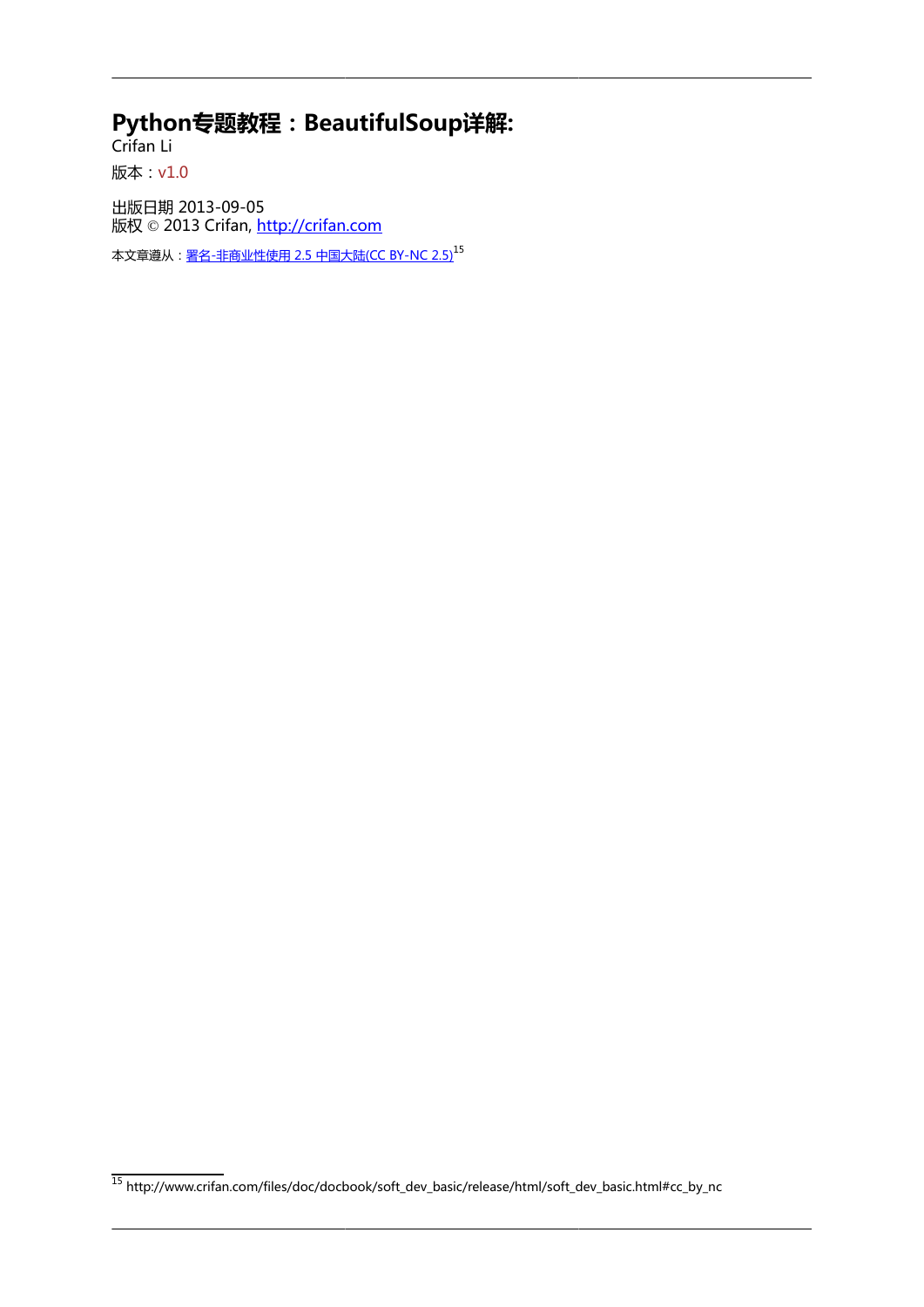#### **Python专题教程:BeautifulSoup详解:**

Crifan Li 版本:v1.0

出版日期 2013-09-05 版权 © 2013 Crifan, <http://crifan.com>

本文章遵从:<u>[署名-非商业性使用 2.5 中国大陆\(CC BY-NC 2.5\)](http://www.crifan.com/files/doc/docbook/soft_dev_basic/release/html/soft_dev_basic.html#cc_by_nc)</u><sup>15</sup>

<sup>15</sup> [http://www.crifan.com/files/doc/docbook/soft\\_dev\\_basic/release/html/soft\\_dev\\_basic.html#cc\\_by\\_nc](http://www.crifan.com/files/doc/docbook/soft_dev_basic/release/html/soft_dev_basic.html#cc_by_nc)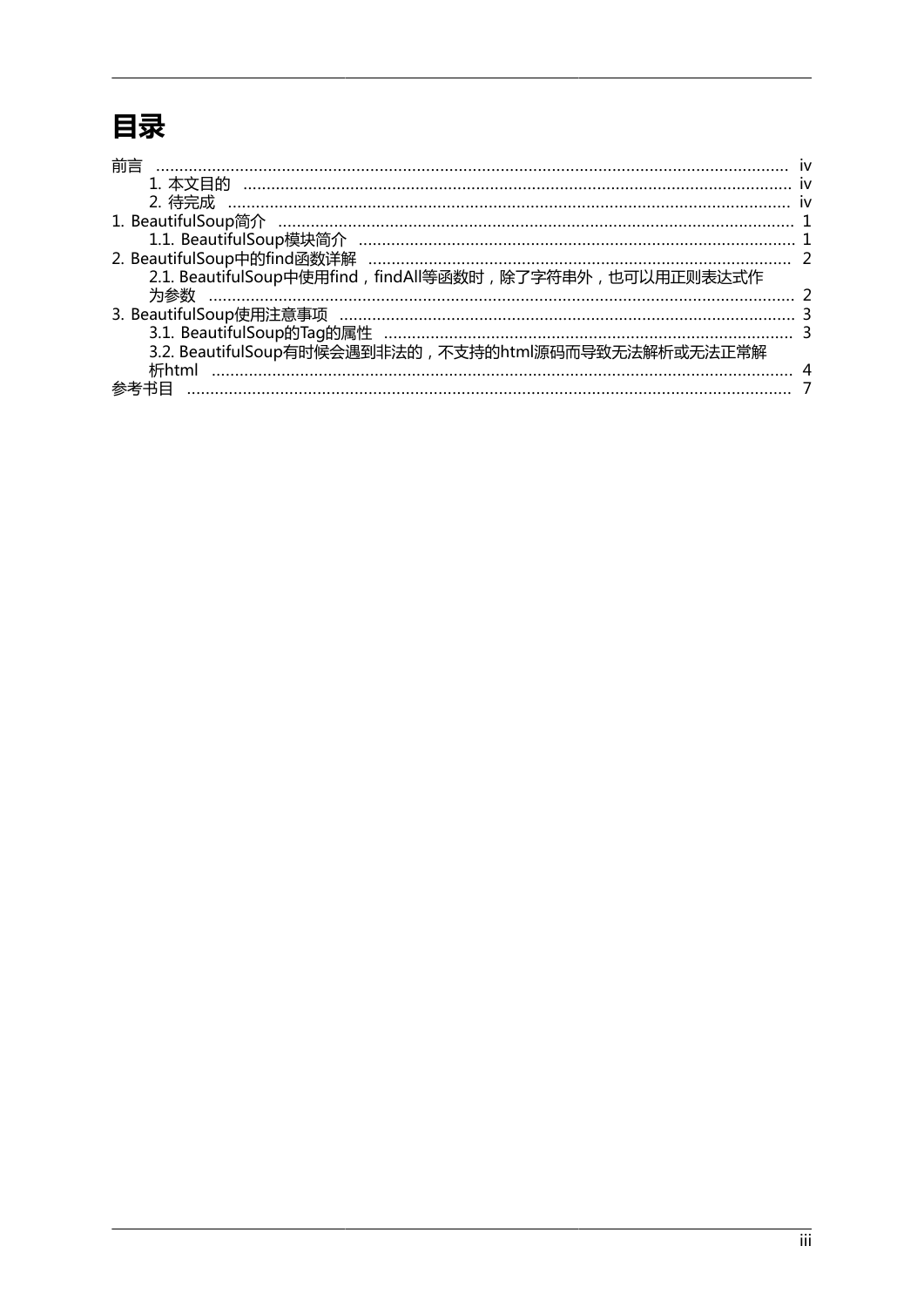## 目录

| 前言                                                        |  |
|-----------------------------------------------------------|--|
| 1. 本文目的                                                   |  |
|                                                           |  |
|                                                           |  |
|                                                           |  |
|                                                           |  |
| 2.1. BeautifulSoup中使用find, findAll等函数时,除了字符串外, 也可以用正则表达式作 |  |
|                                                           |  |
|                                                           |  |
| 3.2. BeautifulSoup有时候会遇到非法的, 不支持的html源码而导致无法解析或无法正常解      |  |
|                                                           |  |
|                                                           |  |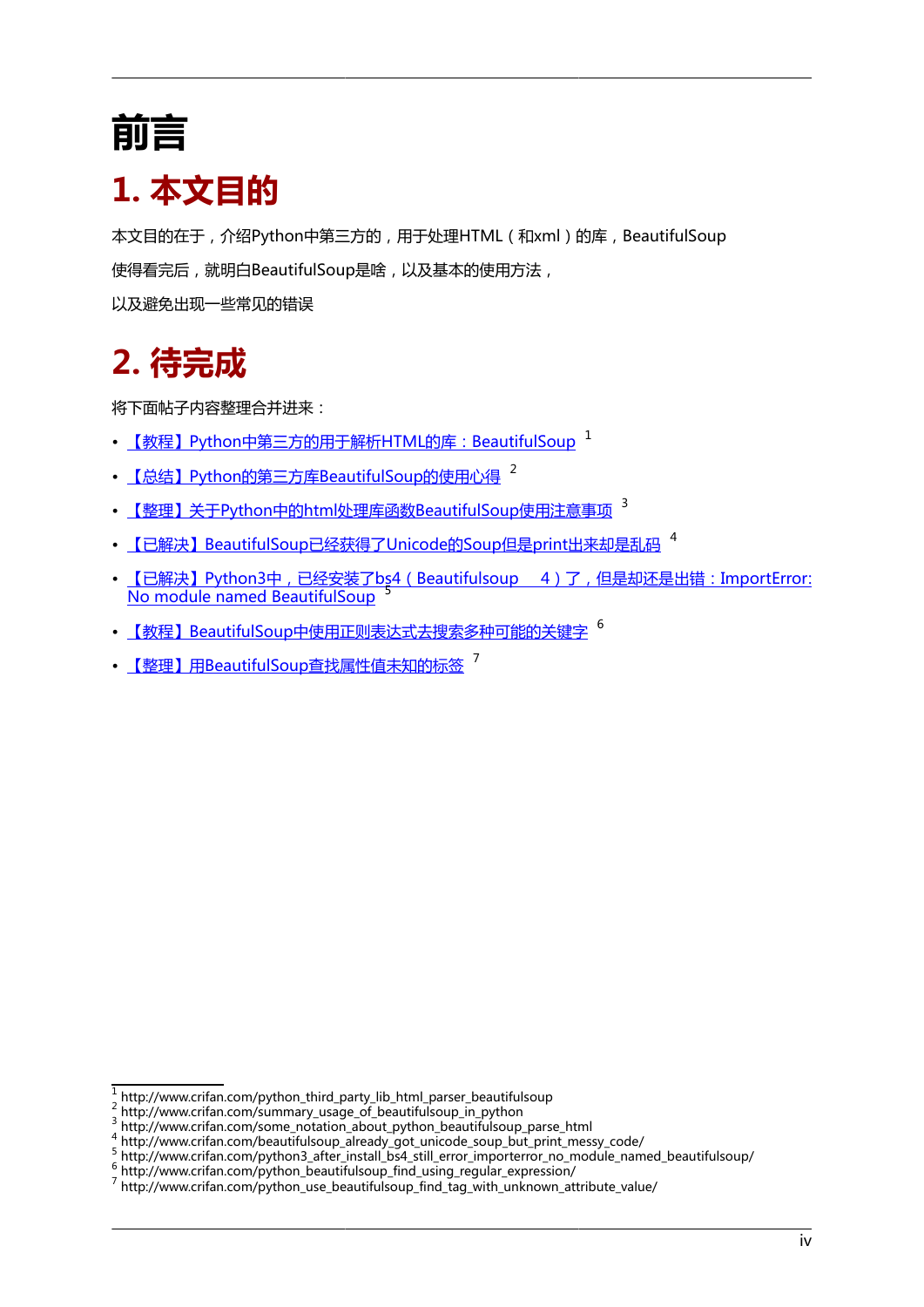# <span id="page-3-0"></span>**前言**

## <span id="page-3-1"></span>**1. 本文目的**

本文目的在于,介绍Python中第三方的,用于处理HTML(和xml)的库,BeautifulSoup 使得看完后,就明白BeautifulSoup是啥,以及基本的使用方法, 以及避免出现一些常见的错误

## <span id="page-3-2"></span>**2. 待完成**

将下面帖子内容整理合并进来:

- <u>【教程】Python中第三方的用于解析HTM</u>L的库:BeautifulSoup <sup>1</sup>
- [【总结】Python的第三方库BeautifulSoup的使用心得](http://www.crifan.com/summary_usage_of_beautifulsoup_in_python) 2
- [【整理】关于Python中的html处理库函数BeautifulSoup使用注意事项](http://www.crifan.com/some_notation_about_python_beautifulsoup_parse_html) <sup>3</sup>
- [【已解决】BeautifulSoup已经获得了Unicode的Soup但是print出来却是乱码](http://www.crifan.com/beautifulsoup_already_got_unicode_soup_but_print_messy_code/) <sup>4</sup>
- 【已解决】Python3中,已经安装了bs4 (Beautifulsoup 4)了,但是却还是出错: ImportError: [No module named BeautifulSoup](http://www.crifan.com/python3_after_install_bs4_still_error_importerror_no_module_named_beautifulsoup/) <sup>5</sup>
- [【教程】BeautifulSoup中使用正则表达式去搜索多种可能的关键字](http://www.crifan.com/python_beautifulsoup_find_using_regular_expression/) 6
- [【整理】用BeautifulSoup查找属性值未知的标签](http://www.crifan.com/python_use_beautifulsoup_find_tag_with_unknown_attribute_value/) 7

<sup>1</sup> [http://www.crifan.com/python\\_third\\_party\\_lib\\_html\\_parser\\_beautifulsoup](http://www.crifan.com/python_third_party_lib_html_parser_beautifulsoup)

<sup>&</sup>lt;sup>2</sup> [http://www.crifan.com/summary\\_usage\\_of\\_beautifulsoup\\_in\\_python](http://www.crifan.com/summary_usage_of_beautifulsoup_in_python)<br><sup>3</sup> [http://www.crifan.com/some\\_notation\\_about\\_python\\_beautifulsoup\\_parse\\_html](http://www.crifan.com/some_notation_about_python_beautifulsoup_parse_html)

<sup>4</sup> [http://www.crifan.com/beautifulsoup\\_already\\_got\\_unicode\\_soup\\_but\\_print\\_messy\\_code/](http://www.crifan.com/beautifulsoup_already_got_unicode_soup_but_print_messy_code/) 5 [http://www.crifan.com/python3\\_after\\_install\\_bs4\\_still\\_error\\_importerror\\_no\\_module\\_named\\_beautifulsoup/](http://www.crifan.com/python3_after_install_bs4_still_error_importerror_no_module_named_beautifulsoup/)

<sup>6</sup> [http://www.crifan.com/python\\_beautifulsoup\\_find\\_using\\_regular\\_expression/](http://www.crifan.com/python_beautifulsoup_find_using_regular_expression/)

<sup>&</sup>lt;sup>7</sup> [http://www.crifan.com/python\\_use\\_beautifulsoup\\_find\\_tag\\_with\\_unknown\\_attribute\\_value/](http://www.crifan.com/python_use_beautifulsoup_find_tag_with_unknown_attribute_value/)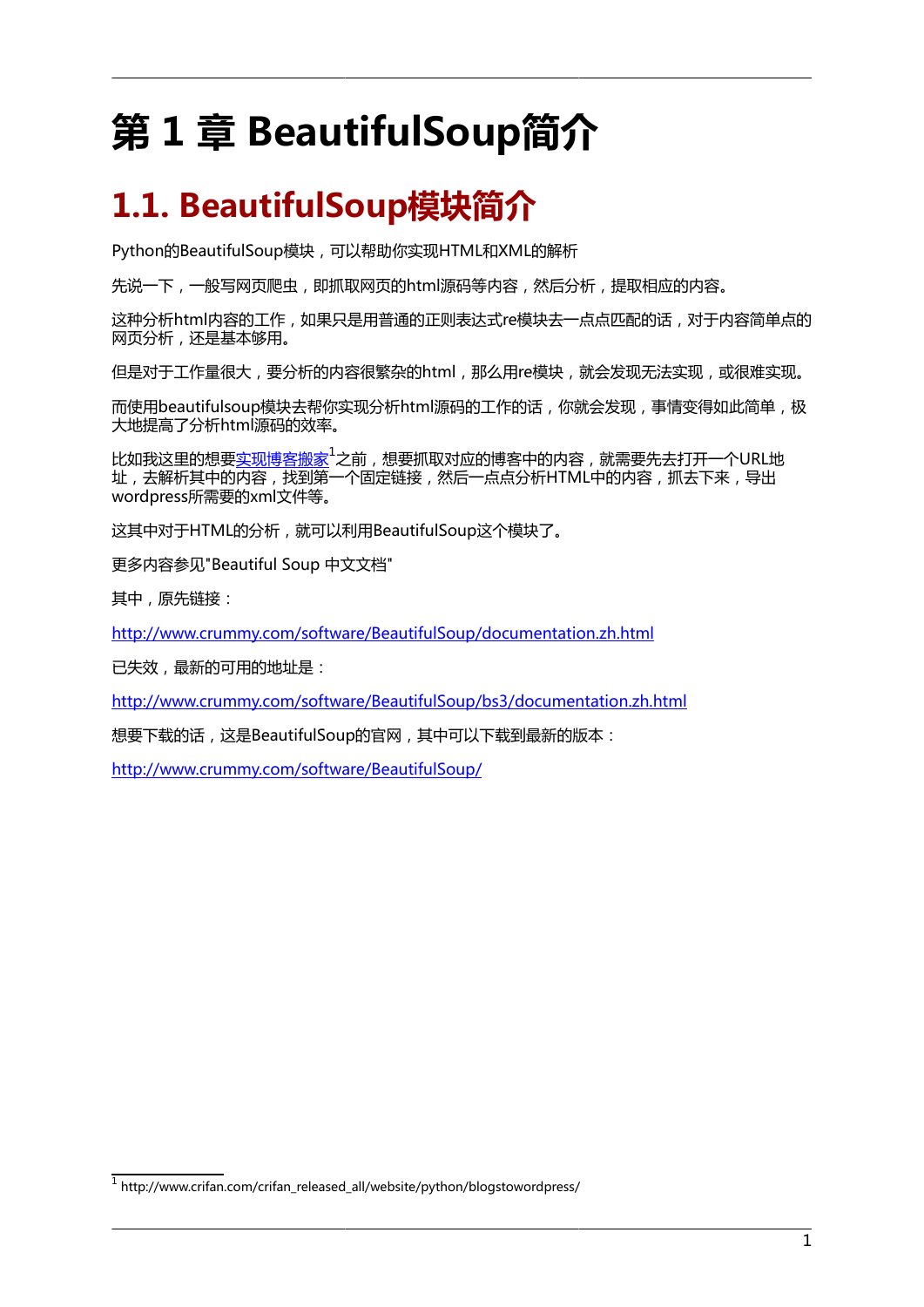# <span id="page-4-0"></span>**第 1 章 BeautifulSoup简介**

## <span id="page-4-1"></span>**1.1. BeautifulSoup模块简介**

Python的BeautifulSoup模块,可以帮助你实现HTML和XML的解析

先说一下,一般写网页爬虫, 即抓取网页的html源码等内容, 然后分析, 提取相应的内容。

这种分析html内容的工作,如果只是用普通的正则表达式re模块去一点点匹配的话,对于内容简单点的 网页分析,还是基本够用。

但是对于工作量很大,要分析的内容很繁杂的html,那么用re模块,就会发现无法实现,或很难实现。

而使用beautifulsoup模块去帮你实现分析html源码的工作的话,你就会发现,事情变得如此简单,极 大地提高了分析html源码的效率。

比如我这里的想要<u>[实现博客搬家](http://www.crifan.com/crifan_released_all/website/python/blogstowordpress/)</u>1之前,想要抓取对应的博客中的内容,就需要先去打开一个URL地 址,去解析其中的内容,找到第一个固定链接,然后一点点分析HTML中的内容,抓去下来,导出 wordpress所需要的xml文件等。

这其中对于HTML的分析,就可以利用BeautifulSoup这个模块了。

更多内容参见"Beautiful Soup 中文文档"

其中,原先链接:

<http://www.crummy.com/software/BeautifulSoup/documentation.zh.html>

已失效,最新的可用的地址是:

<http://www.crummy.com/software/BeautifulSoup/bs3/documentation.zh.html>

想要下载的话,这是BeautifulSoup的官网,其中可以下载到最新的版本:

<http://www.crummy.com/software/BeautifulSoup/>

<sup>&</sup>lt;sup>1</sup> [http://www.crifan.com/crifan\\_released\\_all/website/python/blogstowordpress/](http://www.crifan.com/crifan_released_all/website/python/blogstowordpress/)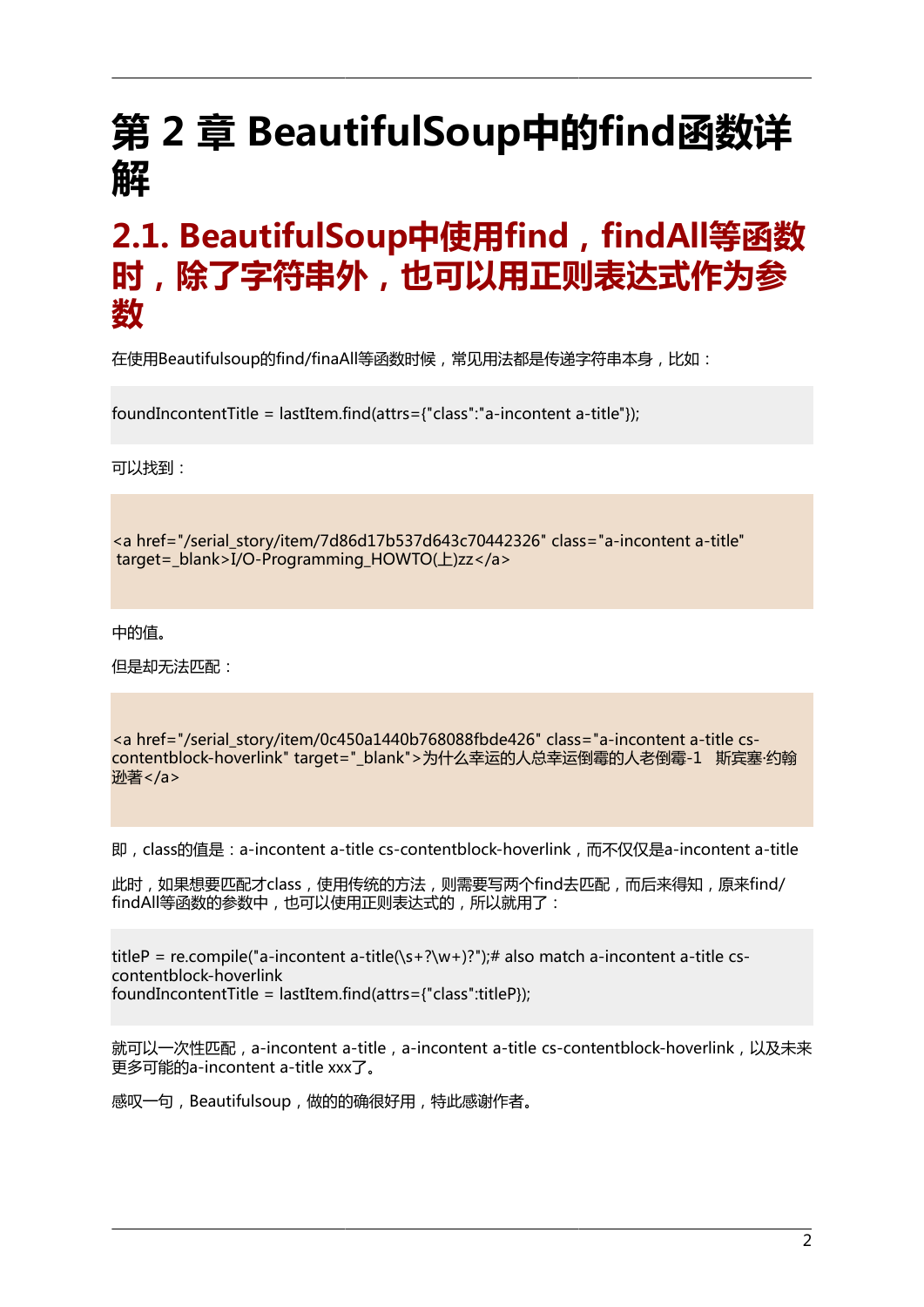# <span id="page-5-0"></span>**第 2 章 BeautifulSoup中的find函数详 解**

## <span id="page-5-1"></span>**2.1. BeautifulSoup中使用find,findAll等函数 时,除了字符串外,也可以用正则表达式作为参 数**

在使用Beautifulsoup的find/finaAll等函数时候,常见用法都是传递字符串本身,比如:

foundIncontentTitle = lastItem.find(attrs={"class":"a-incontent a-title"});

可以找到:

<a href="/serial\_story/item/7d86d17b537d643c70442326" class="a-incontent a-title" target=\_blank>I/O-Programming\_HOWTO(上)zz</a>

中的值。

但是却无法匹配:

<a href="/serial\_story/item/0c450a1440b768088fbde426" class="a-incontent a-title cscontentblock-hoverlink" target="\_blank">为什么幸运的人总幸运倒霉的人老倒霉-1 斯宾塞·约翰 逊著</a>

即,class的值是:a-incontent a-title cs-contentblock-hoverlink,而不仅仅是a-incontent a-title

此时,如果想要匹配才class,使用传统的方法,则需要写两个find去匹配,而后来得知,原来find/ findAll等函数的参数中,也可以使用正则表达式的,所以就用了:

titleP = re.compile("a-incontent a-title(\s+?\w+)?");# also match a-incontent a-title cscontentblock-hoverlink foundIncontentTitle = lastItem.find(attrs={"class":titleP});

就可以一次性匹配, a-incontent a-title, a-incontent a-title cs-contentblock-hoverlink, 以及未来 更多可能的a-incontent a-title xxx了。

感叹一句,Beautifulsoup,做的的确很好用,特此感谢作者。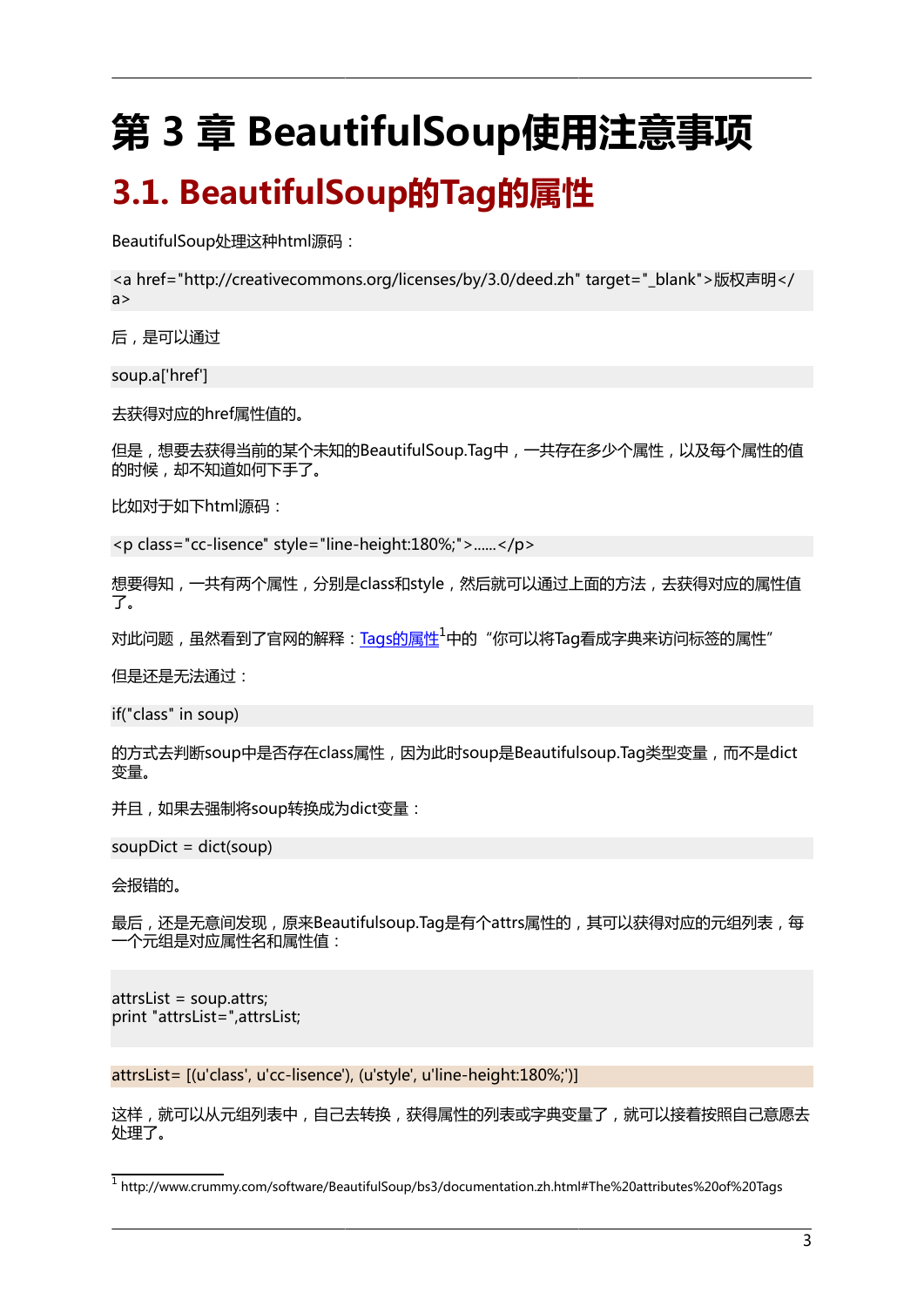# <span id="page-6-0"></span>**第 3 章 BeautifulSoup使用注意事项**

## <span id="page-6-1"></span>**3.1. BeautifulSoup的Tag的属性**

BeautifulSoup处理这种html源码:

<a href="http://creativecommons.org/licenses/by/3.0/deed.zh" target="\_blank">版权声明</ a>

后,是可以通过

soup.a['href']

去获得对应的href属性值的。

但是,想要去获得当前的某个未知的BeautifulSoup.Tag中,一共存在多少个属性,以及每个属性的值 的时候,却不知道如何下手了。

比如对于如下html源码:

<p class="cc-lisence" style="line-height:180%;">......</p>

想要得知,一共有两个属性,分别是class和style,然后就可以通过上面的方法,去获得对应的属性值 了。

对此问题,虽然看到了官网的解释:[Tags的属性](http://www.crummy.com/software/BeautifulSoup/bs3/documentation.zh.html#The%20attributes%20of%20Tags)<sup>1</sup>中的"你可以将Tag看成字典来访问标签的属性"

但是还是无法通过:

if("class" in soup)

的方式去判断soup中是否存在class属性,因为此时soup是Beautifulsoup.Tag类型变量,而不是dict 变量。

并且,如果去强制将soup转换成为dict变量:

soupDict = dict(soup)

会报错的。

最后,还是无意间发现,原来Beautifulsoup.Tag是有个attrs属性的,其可以获得对应的元组列表,每 一个元组是对应属性名和属性值:

attrsList = soup.attrs; print "attrsList=",attrsList;

attrsList= [(u'class', u'cc-lisence'), (u'style', u'line-height:180%;')]

这样,就可以从元组列表中,自己去转换,获得属性的列表或字典变量了,就可以接着按照自己意愿去 处理了。

1 <http://www.crummy.com/software/BeautifulSoup/bs3/documentation.zh.html#The%20attributes%20of%20Tags>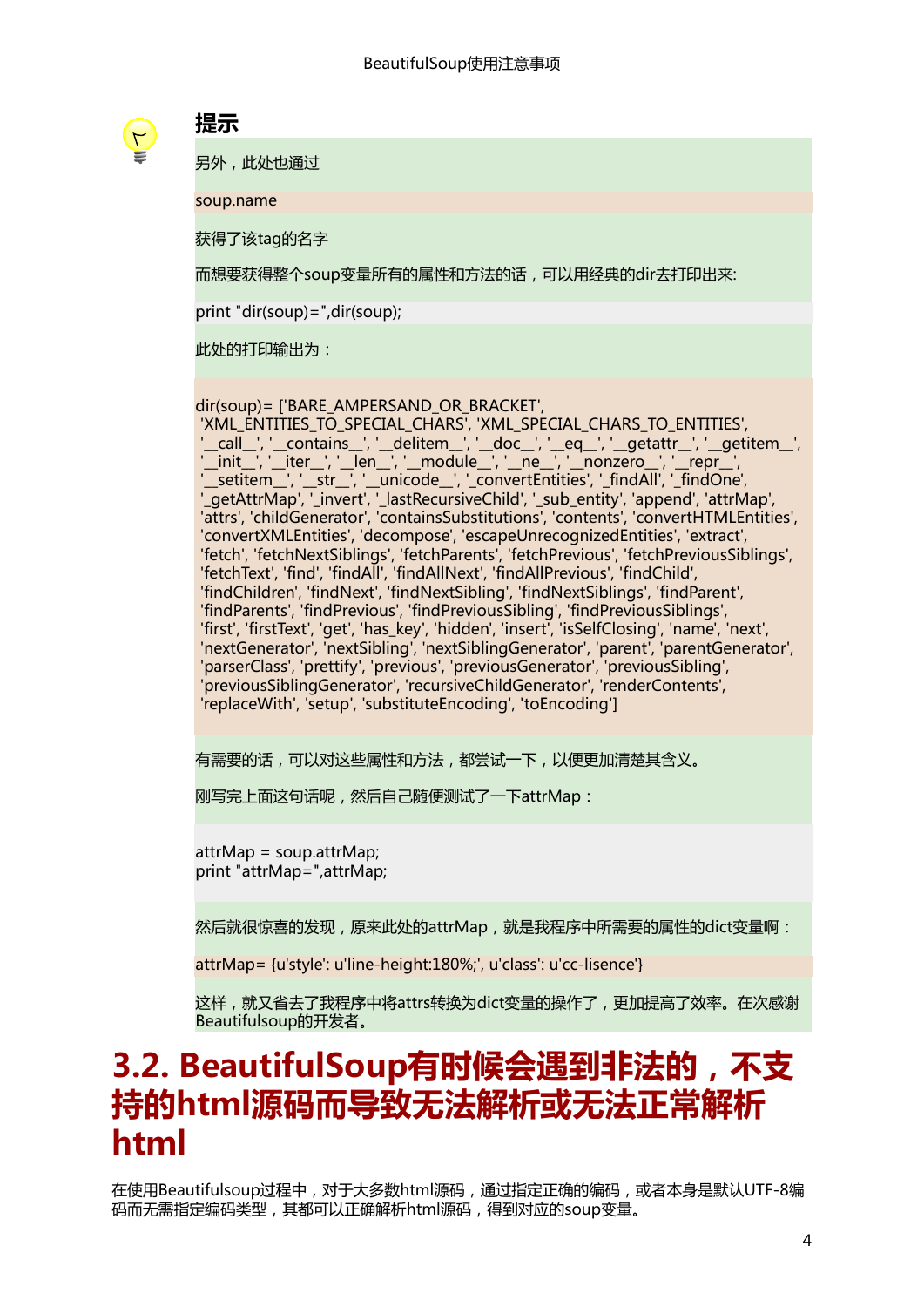

#### **提示**

另外,此处也通过

soup.name

获得了该tag的名字

而想要获得整个soup变量所有的属性和方法的话,可以用经典的dir去打印出来:

print "dir(soup)=",dir(soup);

此处的打印输出为:

dir(soup)= ['BARE\_AMPERSAND\_OR\_BRACKET',

 'XML\_ENTITIES\_TO\_SPECIAL\_CHARS', 'XML\_SPECIAL\_CHARS\_TO\_ENTITIES', '\_\_call\_\_', '\_\_contains\_\_', '\_\_delitem\_\_', '\_\_doc\_\_', '\_\_eq\_\_', '\_\_getattr\_\_', '\_\_getitem\_\_', '\_\_init\_\_', '\_\_iter\_\_', '\_\_len\_\_', '\_\_module\_\_', '\_\_ne\_\_', '\_\_nonzero\_\_', '\_\_repr\_\_', '\_\_setitem\_\_', '\_\_str\_\_', '\_\_unicode\_\_', '\_convertEntities', '\_findAll', '\_findOne', '\_getAttrMap', '\_invert', '\_lastRecursiveChild', '\_sub\_entity', 'append', 'attrMap', 'attrs', 'childGenerator', 'containsSubstitutions', 'contents', 'convertHTMLEntities', 'convertXMLEntities', 'decompose', 'escapeUnrecognizedEntities', 'extract', 'fetch', 'fetchNextSiblings', 'fetchParents', 'fetchPrevious', 'fetchPreviousSiblings', 'fetchText', 'find', 'findAll', 'findAllNext', 'findAllPrevious', 'findChild', 'findChildren', 'findNext', 'findNextSibling', 'findNextSiblings', 'findParent', 'findParents', 'findPrevious', 'findPreviousSibling', 'findPreviousSiblings', 'first', 'firstText', 'get', 'has\_key', 'hidden', 'insert', 'isSelfClosing', 'name', 'next', 'nextGenerator', 'nextSibling', 'nextSiblingGenerator', 'parent', 'parentGenerator', 'parserClass', 'prettify', 'previous', 'previousGenerator', 'previousSibling', 'previousSiblingGenerator', 'recursiveChildGenerator', 'renderContents', 'replaceWith', 'setup', 'substituteEncoding', 'toEncoding']

有需要的话,可以对这些属性和方法,都尝试一下,以便更加清楚其含义。

刚写完上面这句话呢,然后自己随便测试了一下attrMap:

attrMap = soup.attrMap; print "attrMap=",attrMap;

然后就很惊喜的发现,原来此处的attrMap,就是我程序中所需要的属性的dict变量啊:

attrMap= {u'style': u'line-height:180%;', u'class': u'cc-lisence'}

这样,就又省去了我程序中将attrs转换为dict变量的操作了,更加提高了效率。在次感谢 Beautifulsoup的开发者。

## <span id="page-7-0"></span>**3.2. BeautifulSoup有时候会遇到非法的,不支 持的html源码而导致无法解析或无法正常解析 html**

在使用Beautifulsoup过程中,对于大多数html源码,通过指定正确的编码,或者本身是默认UTF-8编 码而无需指定编码类型,其都可以正确解析html源码,得到对应的soup变量。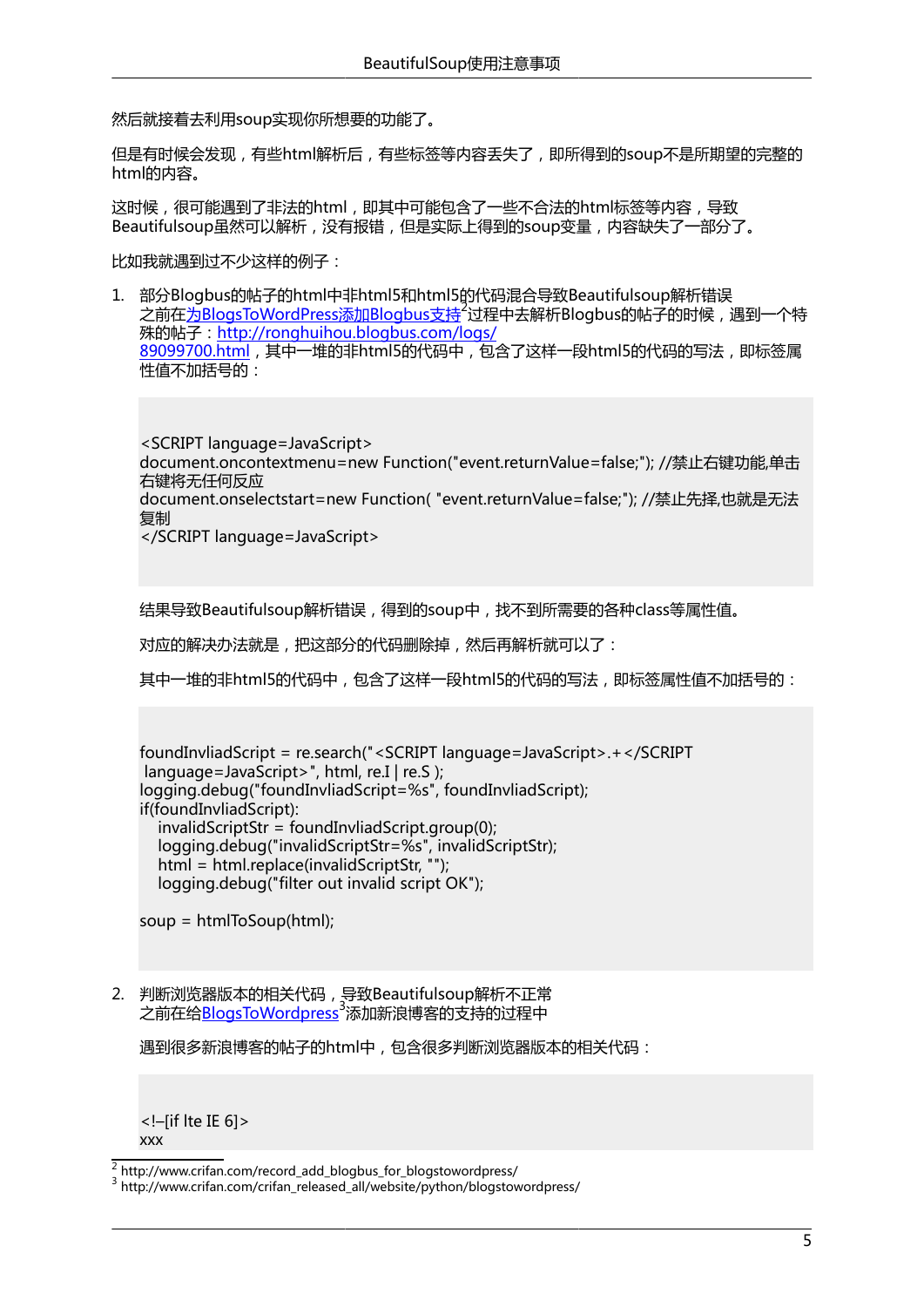然后就接着去利用soup实现你所想要的功能了。

但是有时候会发现,有些html解析后,有些标签等内容丢失了,即所得到的soup不是所期望的完整的 html的内容。

这时候,很可能遇到了非法的html,即其中可能包含了一些不合法的html标签等内容,导致 Beautifulsoup虽然可以解析,没有报错,但是实际上得到的soup变量,内容缺失了一部分了。

比如我就遇到过不少这样的例子:

1. 部分Blogbus的帖子的html中非html5和html5的代码混合导致Beautifulsoup解析错误 之前在[为BlogsToWordPress添加Blogbus支持](http://www.crifan.com/record_add_blogbus_for_blogstowordpress/)<sup>2</sup>过程中去解析Blogbus的帖子的时候,遇到一个特 殊的帖子:[http://ronghuihou.blogbus.com/logs/](http://ronghuihou.blogbus.com/logs/89099700.html) [89099700.html](http://ronghuihou.blogbus.com/logs/89099700.html),其中一堆的非html5的代码中,包含了这样一段html5的代码的写法,即标签属 性值不加括号的:

<SCRIPT language=JavaScript> document.oncontextmenu=new Function("event.returnValue=false;"); //禁止右键功能,单击 右键将无任何反应 document.onselectstart=new Function( "event.returnValue=false;"); //禁止先择,也就是无法 复制 </SCRIPT language=JavaScript>

结果导致Beautifulsoup解析错误,得到的soup中,找不到所需要的各种class等属性值。

对应的解决办法就是,把这部分的代码删除掉,然后再解析就可以了:

其中一堆的非html5的代码中,包含了这样一段html5的代码的写法,即标签属性值不加括号的:

```
foundInvliadScript = re.search("<SCRIPT language=JavaScript>.+</SCRIPT
language=JavaScript>", html, re.I | re.S );
logging.debug("foundInvliadScript=%s", foundInvliadScript);
if(foundInvliadScript):
  invalityScriptStr = foundInvliadScriptarout(0); logging.debug("invalidScriptStr=%s", invalidScriptStr);
   html = html.replace(invalidScriptStr, "");
   logging.debug("filter out invalid script OK");
```
soup = htmlToSoup(html);

2. 判断浏览器版本的相关代码,导致Beautifulsoup解析不正常 之前在给[BlogsToWordpress](http://www.crifan.com/crifan_released_all/website/python/blogstowordpress/)<sup>3</sup>添加新浪博客的支持的过程中

遇到很多新浪博客的帖子的html中,包含很多判断浏览器版本的相关代码:

<!–[if lte IE 6]> xxx

 $\frac{2}{3}$  [http://www.crifan.com/record\\_add\\_blogbus\\_for\\_blogstowordpress/](http://www.crifan.com/record_add_blogbus_for_blogstowordpress/)

<sup>3</sup> [http://www.crifan.com/crifan\\_released\\_all/website/python/blogstowordpress/](http://www.crifan.com/crifan_released_all/website/python/blogstowordpress/)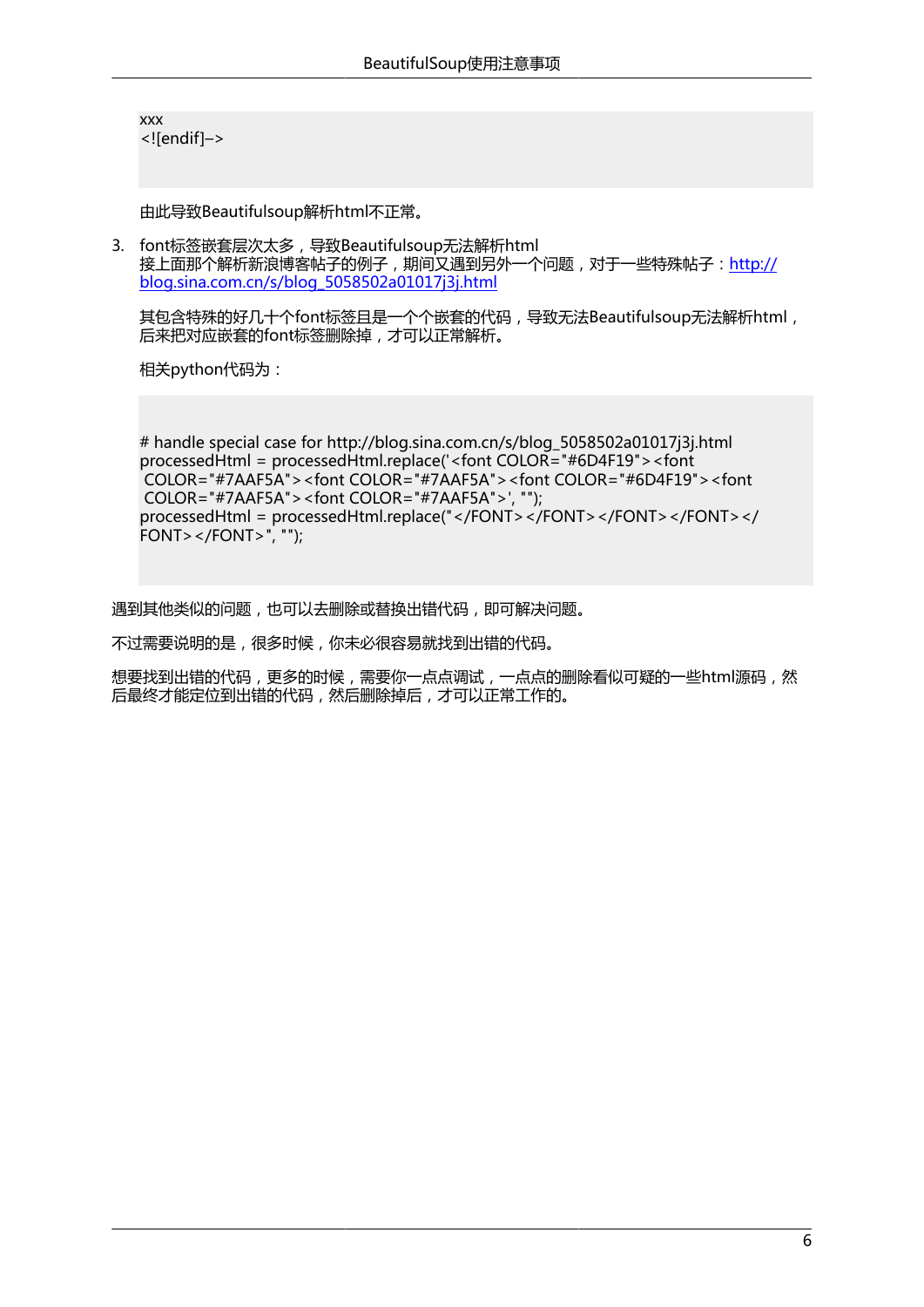xxx <![endif]–>

由此导致Beautifulsoup解析html不正常。

3. font标签嵌套层次太多,导致Beautifulsoup无法解析html 接上面那个解析新浪博客帖子的例子,期间又遇到另外一个问题,对于一些特殊帖子:[http://](http://blog.sina.com.cn/s/blog_5058502a01017j3j.html) [blog.sina.com.cn/s/blog\\_5058502a01017j3j.html](http://blog.sina.com.cn/s/blog_5058502a01017j3j.html)

其包含特殊的好几十个font标签且是一个个嵌套的代码,导致无法Beautifulsoup无法解析html, 后来把对应嵌套的font标签删除掉,才可以正常解析。

相关python代码为:

```
# handle special case for http://blog.sina.com.cn/s/blog_5058502a01017j3j.html
processedHtml = processedHtml.replace('<font COLOR="#6D4F19"><font
 COLOR="#7AAF5A"><font COLOR="#7AAF5A"><font COLOR="#6D4F19"><font
 COLOR="#7AAF5A"><font COLOR="#7AAF5A">', "");
processedHtml = processedHtml.replace("</FONT></FONT></FONT></FONT></
FONT > \langle FONT > ", "");
```
遇到其他类似的问题,也可以去删除或替换出错代码,即可解决问题。

不过需要说明的是,很多时候,你未必很容易就找到出错的代码。

想要找到出错的代码,更多的时候,需要你一点点调试,一点点的删除看似可疑的一些html源码,然 后最终才能定位到出错的代码,然后删除掉后,才可以正常工作的。